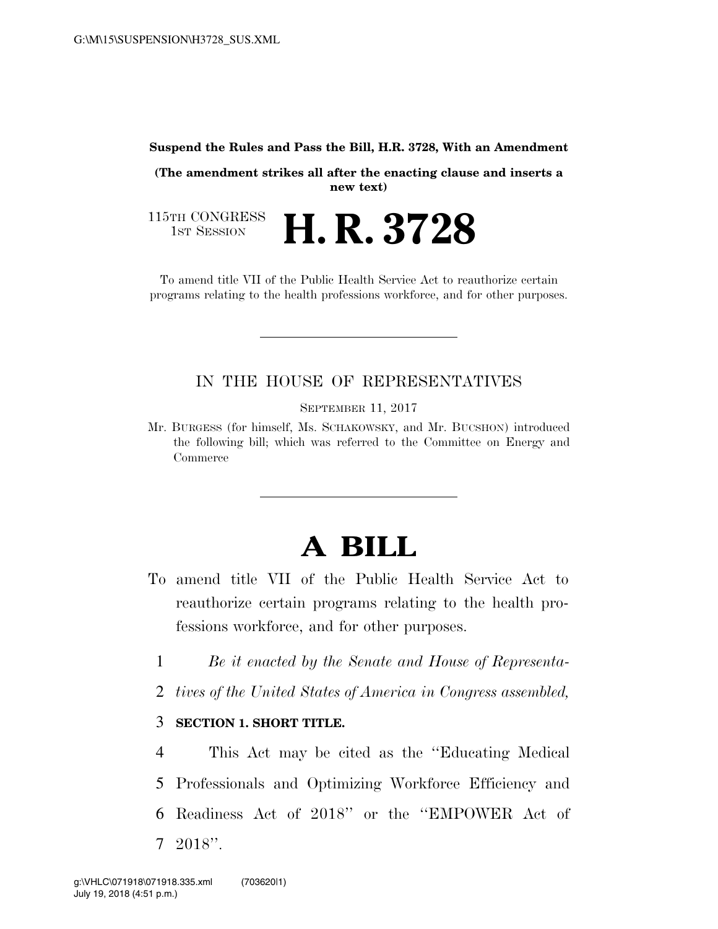#### **Suspend the Rules and Pass the Bill, H.R. 3728, With an Amendment**

**(The amendment strikes all after the enacting clause and inserts a new text)** 

115TH CONGRESS<br>1st Session 1ST SESSION **H. R. 3728**

To amend title VII of the Public Health Service Act to reauthorize certain programs relating to the health professions workforce, and for other purposes.

### IN THE HOUSE OF REPRESENTATIVES

SEPTEMBER 11, 2017

Mr. BURGESS (for himself, Ms. SCHAKOWSKY, and Mr. BUCSHON) introduced the following bill; which was referred to the Committee on Energy and Commerce

# **A BILL**

- To amend title VII of the Public Health Service Act to reauthorize certain programs relating to the health professions workforce, and for other purposes.
	- 1 *Be it enacted by the Senate and House of Representa-*
	- 2 *tives of the United States of America in Congress assembled,*

#### 3 **SECTION 1. SHORT TITLE.**

 This Act may be cited as the ''Educating Medical Professionals and Optimizing Workforce Efficiency and Readiness Act of 2018'' or the ''EMPOWER Act of 7 2018''.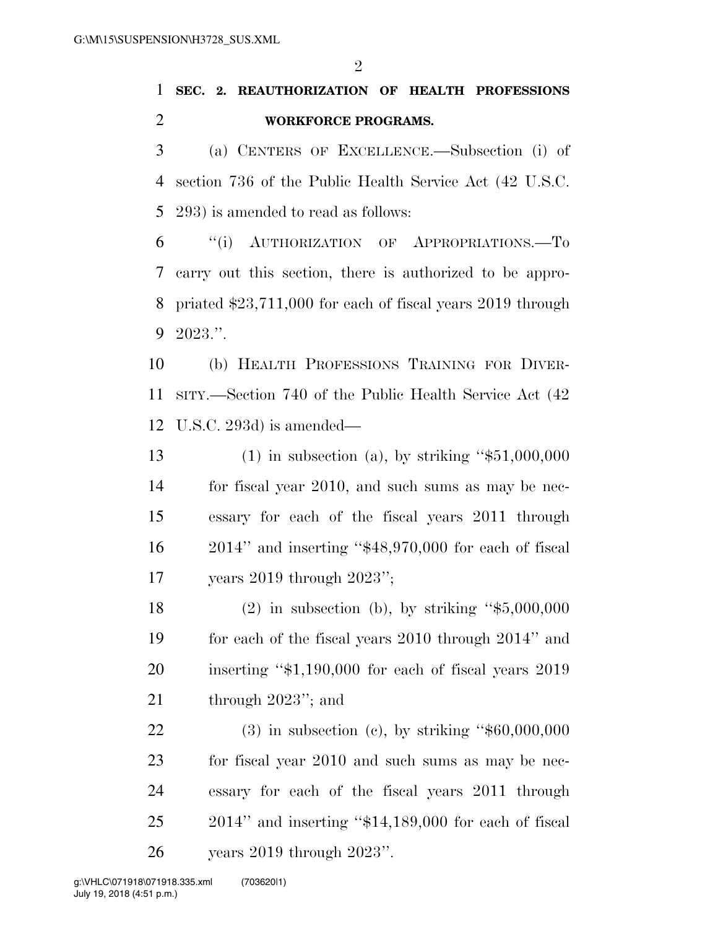$\mathfrak{D}$ 

## **SEC. 2. REAUTHORIZATION OF HEALTH PROFESSIONS WORKFORCE PROGRAMS.**

 (a) CENTERS OF EXCELLENCE.—Subsection (i) of section 736 of the Public Health Service Act (42 U.S.C. 293) is amended to read as follows:

 ''(i) AUTHORIZATION OF APPROPRIATIONS.—To carry out this section, there is authorized to be appro- priated \$23,711,000 for each of fiscal years 2019 through 2023.''.

 (b) HEALTH PROFESSIONS TRAINING FOR DIVER- SITY.—Section 740 of the Public Health Service Act (42 U.S.C. 293d) is amended—

 (1) in subsection (a), by striking ''\$51,000,000 for fiscal year 2010, and such sums as may be nec- essary for each of the fiscal years 2011 through 2014'' and inserting ''\$48,970,000 for each of fiscal years 2019 through 2023'';

 (2) in subsection (b), by striking ''\$5,000,000 for each of the fiscal years 2010 through 2014'' and inserting ''\$1,190,000 for each of fiscal years 2019 21 through 2023"; and

 (3) in subsection (c), by striking ''\$60,000,000 for fiscal year 2010 and such sums as may be nec- essary for each of the fiscal years 2011 through 2014'' and inserting ''\$14,189,000 for each of fiscal years 2019 through 2023''.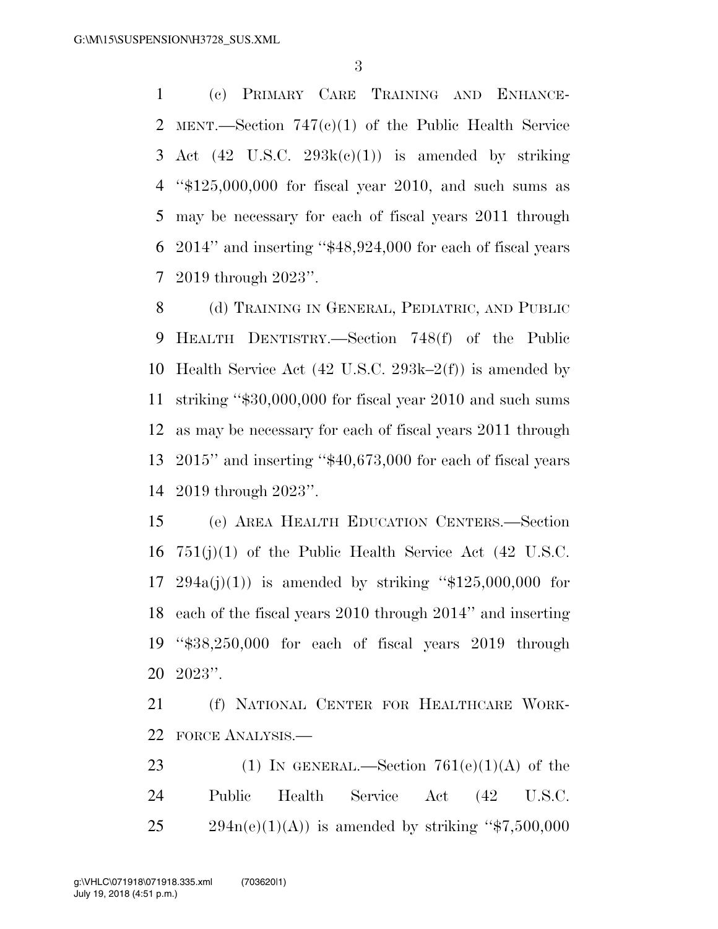(c) PRIMARY CARE TRAINING AND ENHANCE- MENT.—Section 747(c)(1) of the Public Health Service 3 Act  $(42 \text{ U.S.C. } 293\text{k}(c)(1))$  is amended by striking ''\$125,000,000 for fiscal year 2010, and such sums as may be necessary for each of fiscal years 2011 through 2014'' and inserting ''\$48,924,000 for each of fiscal years 2019 through 2023''.

8 (d) TRAINING IN GENERAL, PEDIATRIC, AND PUBLIC HEALTH DENTISTRY.—Section 748(f) of the Public Health Service Act (42 U.S.C. 293k–2(f)) is amended by striking ''\$30,000,000 for fiscal year 2010 and such sums as may be necessary for each of fiscal years 2011 through 2015'' and inserting ''\$40,673,000 for each of fiscal years 2019 through 2023''.

 (e) AREA HEALTH EDUCATION CENTERS.—Section 751(j)(1) of the Public Health Service Act (42 U.S.C. 17 294a(j)(1)) is amended by striking " $$125,000,000$  for each of the fiscal years 2010 through 2014'' and inserting ''\$38,250,000 for each of fiscal years 2019 through 2023''.

 (f) NATIONAL CENTER FOR HEALTHCARE WORK-FORCE ANALYSIS.—

23 (1) IN GENERAL.—Section  $761(e)(1)(A)$  of the Public Health Service Act (42 U.S.C.  $25 \frac{294n(e)(1)(A)}{s}$  is amended by striking "\$7,500,000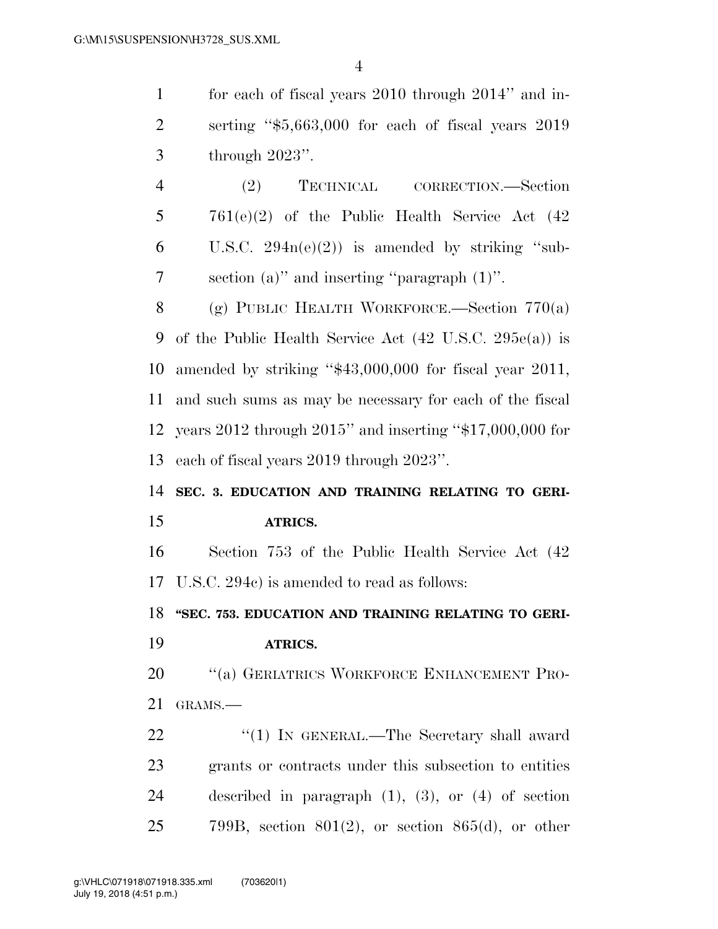for each of fiscal years 2010 through 2014'' and in- serting ''\$5,663,000 for each of fiscal years 2019 through 2023''.

 (2) TECHNICAL CORRECTION.—Section 761(e)(2) of the Public Health Service Act (42 6 U.S.C.  $294n(e)(2)$  is amended by striking "sub-section (a)'' and inserting ''paragraph (1)''.

 (g) PUBLIC HEALTH WORKFORCE.—Section 770(a) of the Public Health Service Act (42 U.S.C. 295e(a)) is amended by striking ''\$43,000,000 for fiscal year 2011, and such sums as may be necessary for each of the fiscal years 2012 through 2015'' and inserting ''\$17,000,000 for each of fiscal years 2019 through 2023''.

## **SEC. 3. EDUCATION AND TRAINING RELATING TO GERI-ATRICS.**

 Section 753 of the Public Health Service Act (42 U.S.C. 294c) is amended to read as follows:

**''SEC. 753. EDUCATION AND TRAINING RELATING TO GERI-**

**ATRICS.** 

20 "(a) GERIATRICS WORKFORCE ENHANCEMENT PRO-GRAMS.—

22 "(1) IN GENERAL.—The Secretary shall award grants or contracts under this subsection to entities described in paragraph (1), (3), or (4) of section 25 799B, section  $801(2)$ , or section  $865(d)$ , or other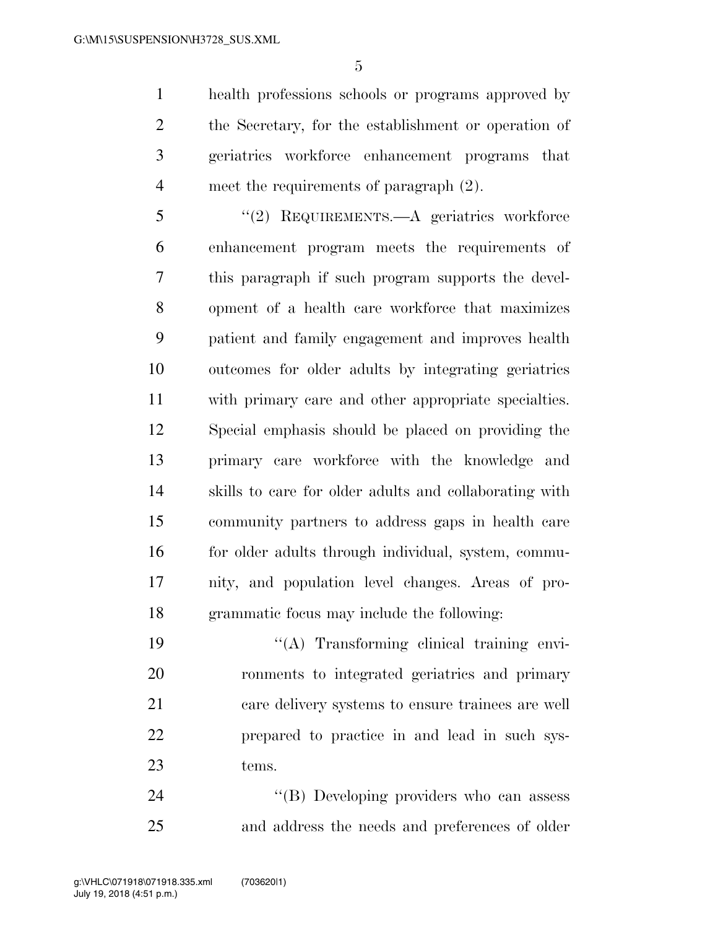health professions schools or programs approved by the Secretary, for the establishment or operation of geriatrics workforce enhancement programs that meet the requirements of paragraph (2).

 ''(2) REQUIREMENTS.—A geriatrics workforce enhancement program meets the requirements of this paragraph if such program supports the devel- opment of a health care workforce that maximizes patient and family engagement and improves health outcomes for older adults by integrating geriatrics with primary care and other appropriate specialties. Special emphasis should be placed on providing the primary care workforce with the knowledge and skills to care for older adults and collaborating with community partners to address gaps in health care 16 for older adults through individual, system, commu- nity, and population level changes. Areas of pro-grammatic focus may include the following:

 $\langle (A)$  Transforming clinical training envi- ronments to integrated geriatrics and primary care delivery systems to ensure trainees are well prepared to practice in and lead in such sys-tems.

24 "(B) Developing providers who can assess and address the needs and preferences of older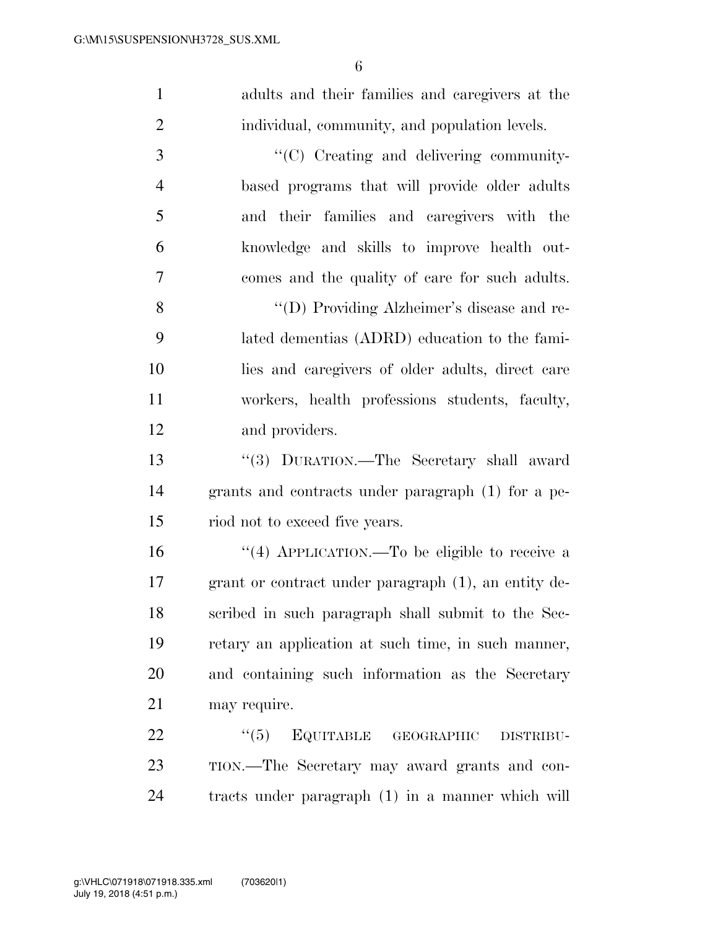adults and their families and caregivers at the individual, community, and population levels.

 ''(C) Creating and delivering community- based programs that will provide older adults and their families and caregivers with the knowledge and skills to improve health out- comes and the quality of care for such adults. ''(D) Providing Alzheimer's disease and re-

 lated dementias (ADRD) education to the fami- lies and caregivers of older adults, direct care workers, health professions students, faculty, and providers.

 ''(3) DURATION.—The Secretary shall award grants and contracts under paragraph (1) for a pe-riod not to exceed five years.

 ''(4) APPLICATION.—To be eligible to receive a grant or contract under paragraph (1), an entity de- scribed in such paragraph shall submit to the Sec- retary an application at such time, in such manner, and containing such information as the Secretary may require.

22 "(5) EQUITABLE GEOGRAPHIC DISTRIBU- TION.—The Secretary may award grants and con-tracts under paragraph (1) in a manner which will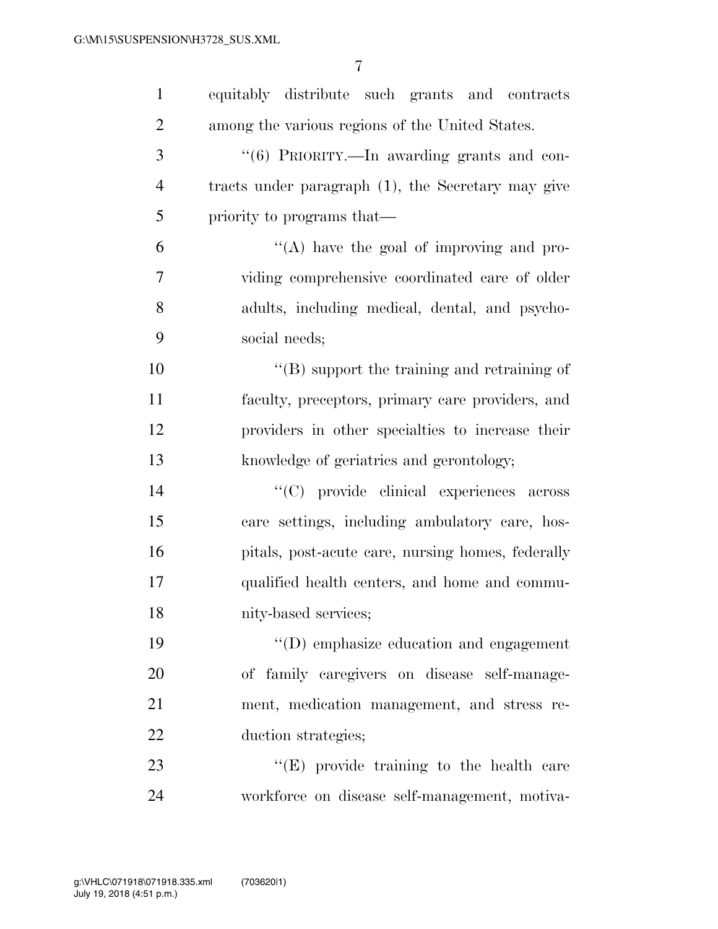| $\mathbf{1}$   | equitably distribute such grants and contracts      |
|----------------|-----------------------------------------------------|
| $\overline{2}$ | among the various regions of the United States.     |
| 3              | "(6) PRIORITY.—In awarding grants and con-          |
| $\overline{4}$ | tracts under paragraph (1), the Secretary may give  |
| 5              | priority to programs that—                          |
| 6              | "(A) have the goal of improving and pro-            |
| 7              | viding comprehensive coordinated care of older      |
| $8\,$          | adults, including medical, dental, and psycho-      |
| 9              | social needs;                                       |
| 10             | $\lq\lq$ (B) support the training and retraining of |
| 11             | faculty, preceptors, primary care providers, and    |
| 12             | providers in other specialties to increase their    |
| 13             | knowledge of geriatrics and gerontology;            |
| 14             | "(C) provide clinical experiences across            |
| 15             | care settings, including ambulatory care, hos-      |
| 16             | pitals, post-acute care, nursing homes, federally   |
| 17             | qualified health centers, and home and commu-       |
| 18             | nity-based services;                                |
| 19             | $\lq\lq$ emphasize education and engagement         |
| 20             | of family caregivers on disease self-manage-        |
| 21             | ment, medication management, and stress re-         |
| 22             | duction strategies;                                 |
| 23             | "(E) provide training to the health care            |
| 24             | workforce on disease self-management, motiva-       |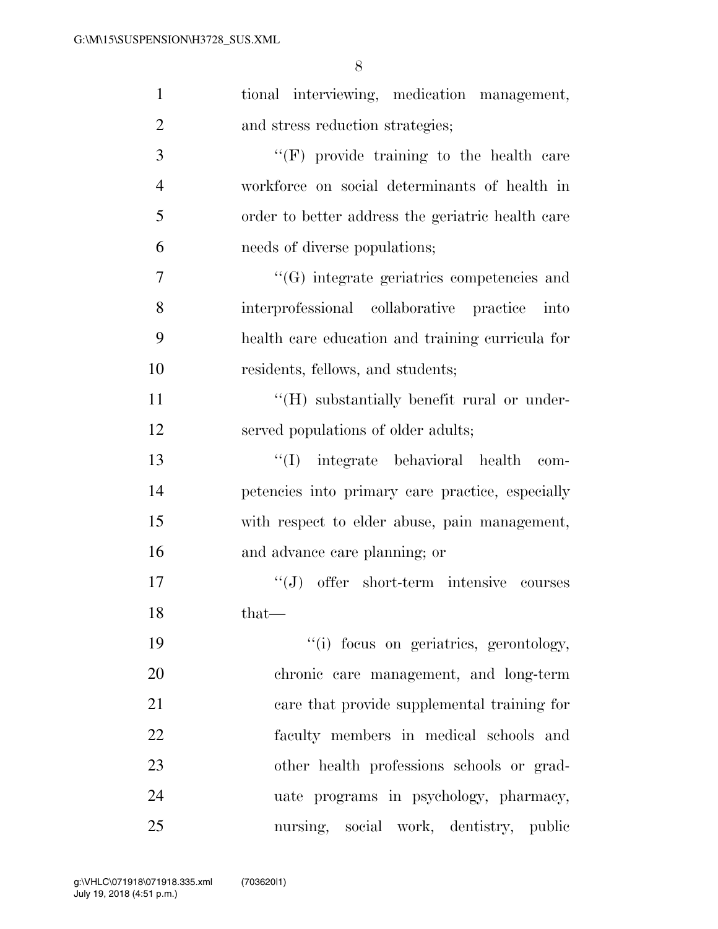| $\mathbf{1}$   | tional interviewing, medication management,       |
|----------------|---------------------------------------------------|
| $\overline{2}$ | and stress reduction strategies;                  |
| 3              | $\lq\lq(F)$ provide training to the health care   |
| $\overline{4}$ | workforce on social determinants of health in     |
| 5              | order to better address the geriatric health care |
| 6              | needs of diverse populations;                     |
| 7              | $\lq\lq(G)$ integrate geriatrics competencies and |
| 8              | interprofessional collaborative practice<br>into  |
| 9              | health care education and training curricula for  |
| 10             | residents, fellows, and students;                 |
| 11             | "(H) substantially benefit rural or under-        |
| 12             | served populations of older adults;               |
| 13             | "(I) integrate behavioral health<br>$com-$        |
| 14             | petencies into primary care practice, especially  |
| 15             | with respect to elder abuse, pain management,     |
| 16             | and advance care planning; or                     |
| 17             | $\lq\lq(J)$ offer short-term intensive courses    |
| 18             | that—                                             |
| 19             | "(i) focus on geriatrics, gerontology,            |
| 20             | chronic care management, and long-term            |
| 21             | care that provide supplemental training for       |
| 22             | faculty members in medical schools and            |
| 23             | other health professions schools or grad-         |
| 24             | uate programs in psychology, pharmacy,            |
| 25             | nursing, social work, dentistry, public           |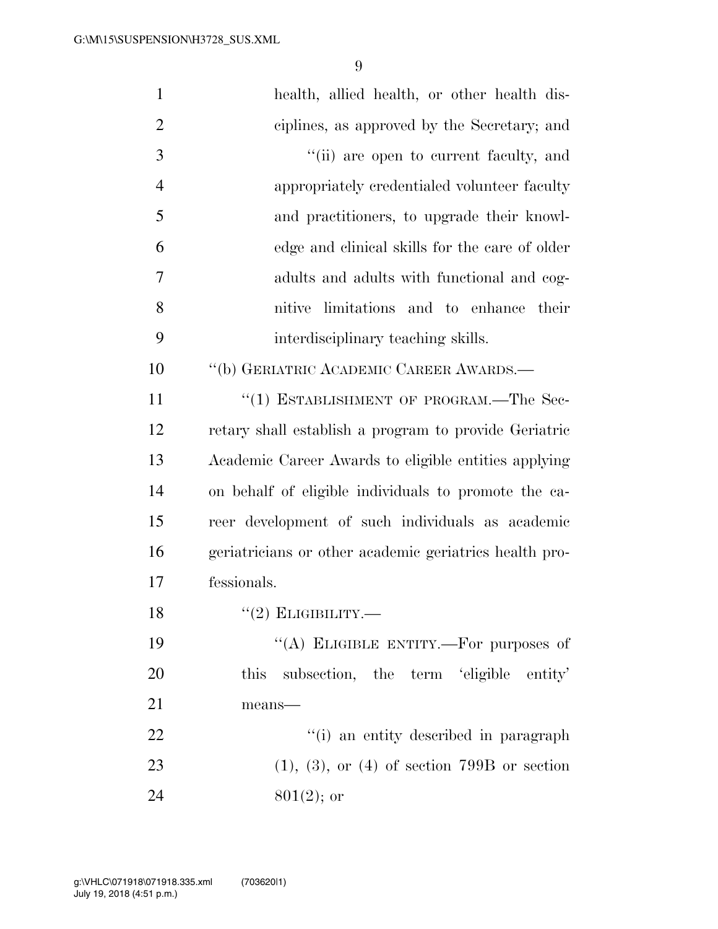| $\mathbf{1}$   | health, allied health, or other health dis-            |
|----------------|--------------------------------------------------------|
| $\overline{2}$ | ciplines, as approved by the Secretary; and            |
| 3              | "(ii) are open to current faculty, and                 |
| $\overline{4}$ | appropriately credentialed volunteer faculty           |
| 5              | and practitioners, to upgrade their knowl-             |
| 6              | edge and clinical skills for the care of older         |
| 7              | adults and adults with functional and cog-             |
| 8              | nitive limitations and to enhance their                |
| 9              | interdisciplinary teaching skills.                     |
| 10             | "(b) GERIATRIC ACADEMIC CAREER AWARDS.—                |
| 11             | "(1) ESTABLISHMENT OF PROGRAM.—The Sec-                |
| 12             | retary shall establish a program to provide Geriatric  |
| 13             | Academic Career Awards to eligible entities applying   |
| 14             | on behalf of eligible individuals to promote the ca-   |
| 15             | reer development of such individuals as academic       |
| 16             | geriatricians or other academic geriatrics health pro- |
| 17             | fessionals.                                            |
| 18             | $``(2)$ ELIGIBILITY.—                                  |
| 19             | "(A) ELIGIBLE ENTITY.—For purposes of                  |
| 20             | this subsection, the term 'eligible entity'            |
| 21             | means-                                                 |
| 22             | "(i) an entity described in paragraph                  |
| 23             | $(1), (3),$ or $(4)$ of section 799B or section        |
| 24             | $801(2)$ ; or                                          |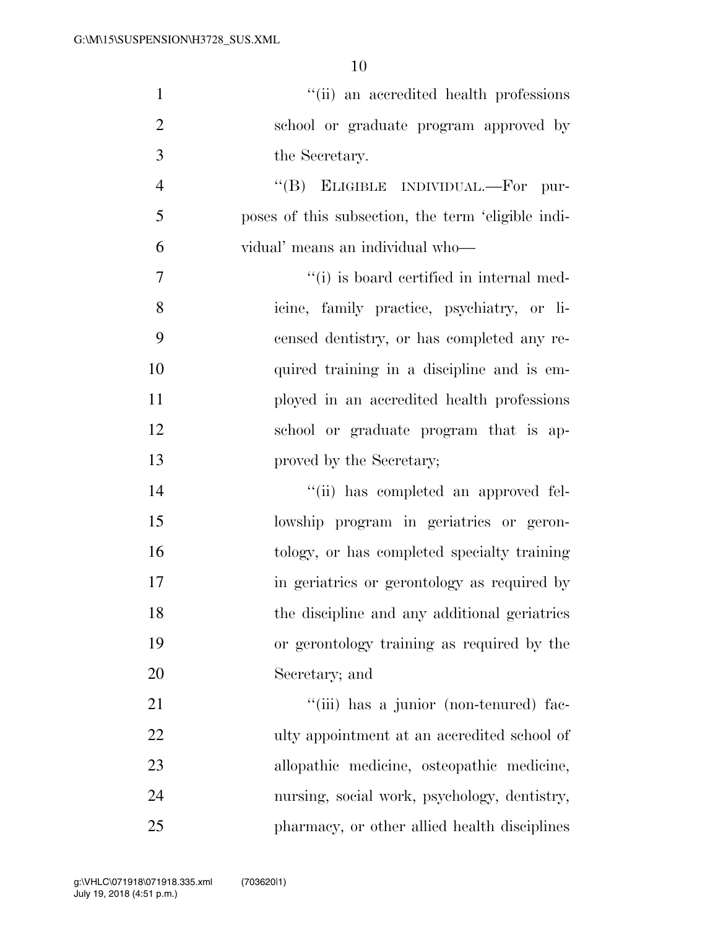| $\mathbf{1}$   | "(ii) an accredited health professions             |
|----------------|----------------------------------------------------|
| $\overline{2}$ | school or graduate program approved by             |
| 3              | the Secretary.                                     |
| $\overline{4}$ | "(B) ELIGIBLE INDIVIDUAL.—For pur-                 |
| 5              | poses of this subsection, the term 'eligible indi- |
| 6              | vidual' means an individual who-                   |
| $\overline{7}$ | "(i) is board certified in internal med-           |
| 8              | icine, family practice, psychiatry, or li-         |
| 9              | censed dentistry, or has completed any re-         |
| 10             | quired training in a discipline and is em-         |
| 11             | ployed in an accredited health professions         |
| 12             | school or graduate program that is ap-             |
| 13             | proved by the Secretary;                           |
| 14             | "(ii) has completed an approved fel-               |
| 15             | lowship program in geriatrics or geron-            |
| 16             | tology, or has completed specialty training        |
| 17             | in geriatries or gerontology as required by        |
| 18             | the discipline and any additional geriatrics       |
| 19             | or gerontology training as required by the         |
| 20             | Secretary; and                                     |
| 21             | "(iii) has a junior (non-tenured) fac-             |
| 22             | ulty appointment at an accredited school of        |
| 23             | allopathic medicine, osteopathic medicine,         |
| 24             | nursing, social work, psychology, dentistry,       |
| 25             | pharmacy, or other allied health disciplines       |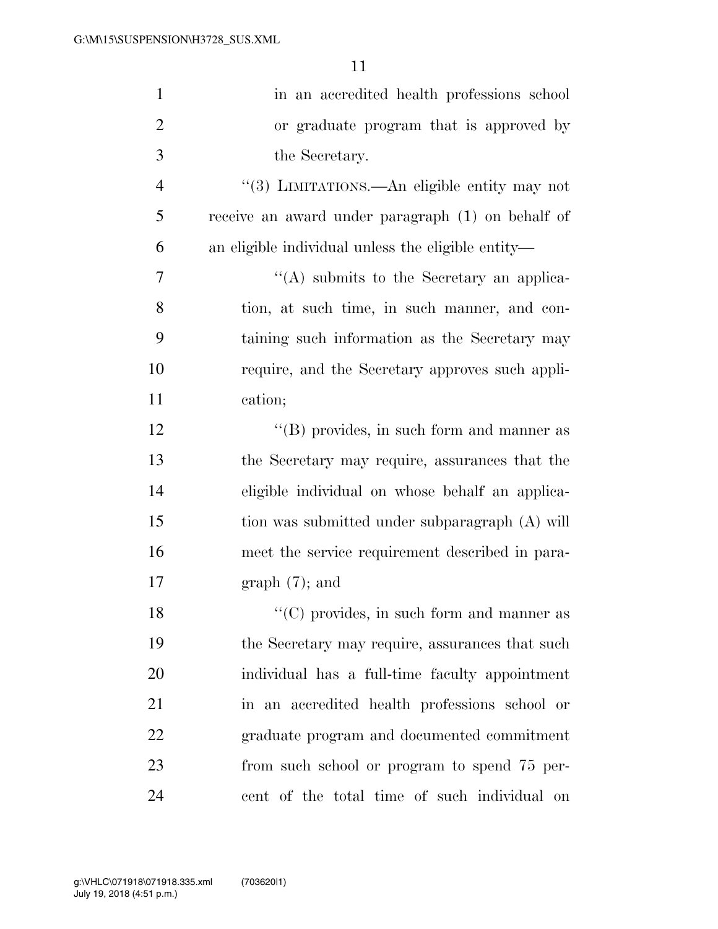| $\mathbf{1}$   | in an accredited health professions school         |
|----------------|----------------------------------------------------|
| $\overline{2}$ | or graduate program that is approved by            |
| 3              | the Secretary.                                     |
| $\overline{4}$ | "(3) LIMITATIONS.—An eligible entity may not       |
| 5              | receive an award under paragraph (1) on behalf of  |
| 6              | an eligible individual unless the eligible entity— |
| $\overline{7}$ | $\lq\lq$ submits to the Secretary an applica-      |
| 8              | tion, at such time, in such manner, and con-       |
| 9              | taining such information as the Secretary may      |
| 10             | require, and the Secretary approves such appli-    |
| 11             | cation;                                            |
| 12             | $\lq\lq (B)$ provides, in such form and manner as  |
| 13             | the Secretary may require, assurances that the     |
| 14             | eligible individual on whose behalf an applica-    |
| 15             | tion was submitted under subparagraph (A) will     |
| 16             | meet the service requirement described in para-    |
| 17             | $graph(7)$ ; and                                   |
| 18             | $\lq\lq$ (C) provides, in such form and manner as  |
| 19             | the Secretary may require, assurances that such    |
| 20             | individual has a full-time faculty appointment     |
| 21             | in an accredited health professions school or      |
| 22             | graduate program and documented commitment         |
| 23             | from such school or program to spend 75 per-       |
| 24             | cent of the total time of such individual on       |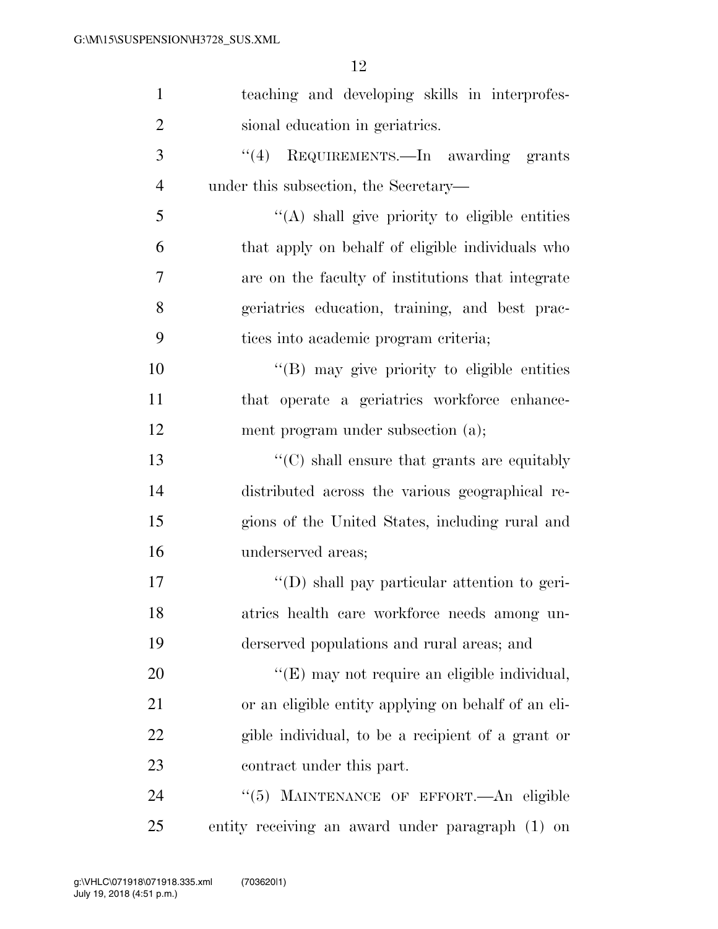| $\mathbf{1}$   | teaching and developing skills in interprofes-       |
|----------------|------------------------------------------------------|
| $\overline{2}$ | sional education in geriatrics.                      |
| 3              | $\cdot$ (4) REQUIREMENTS. In awarding grants         |
| $\overline{4}$ | under this subsection, the Secretary-                |
| 5              | "(A) shall give priority to eligible entities        |
| 6              | that apply on behalf of eligible individuals who     |
| 7              | are on the faculty of institutions that integrate    |
| 8              | geriatrics education, training, and best prac-       |
| 9              | tices into academic program criteria;                |
| 10             | "(B) may give priority to eligible entities          |
| 11             | that operate a geriatrics workforce enhance-         |
| 12             | ment program under subsection (a);                   |
| 13             | $\lq\lq (C)$ shall ensure that grants are equitably  |
| 14             | distributed across the various geographical re-      |
| 15             | gions of the United States, including rural and      |
| 16             | underserved areas;                                   |
| 17             | $\lq\lq$ (D) shall pay particular attention to geri- |
| 18             | atrics health care workforce needs among un-         |
| 19             | derserved populations and rural areas; and           |
| 20             | "(E) may not require an eligible individual,         |
| 21             | or an eligible entity applying on behalf of an eli-  |
| 22             | gible individual, to be a recipient of a grant or    |
| 23             | contract under this part.                            |
| 24             | "(5) MAINTENANCE OF EFFORT. An eligible              |
| 25             | entity receiving an award under paragraph (1) on     |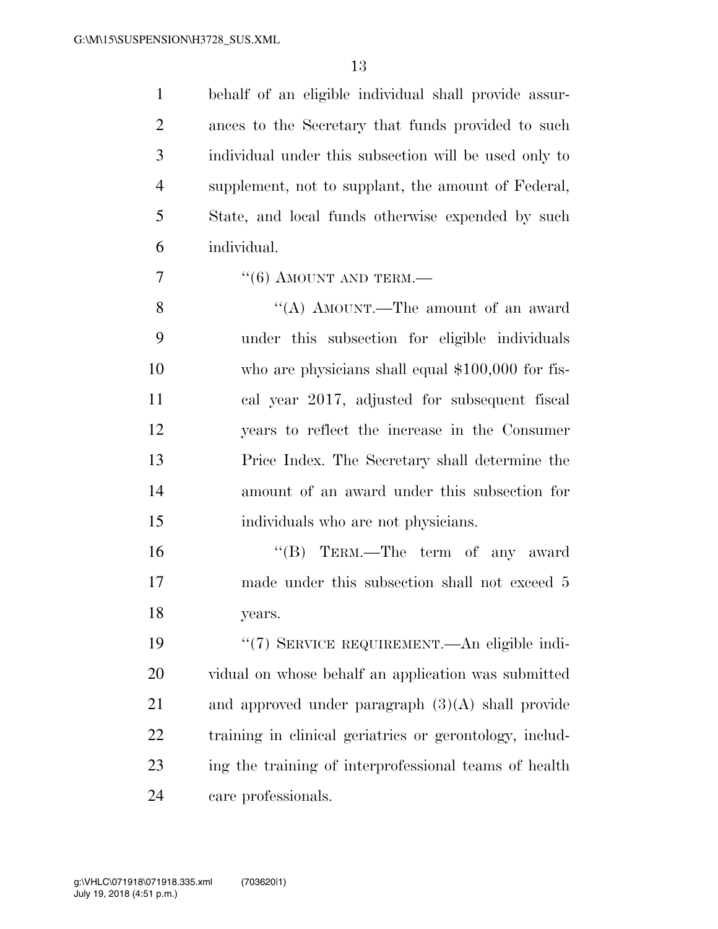behalf of an eligible individual shall provide assur- ances to the Secretary that funds provided to such individual under this subsection will be used only to supplement, not to supplant, the amount of Federal, State, and local funds otherwise expended by such individual.

 $\frac{7}{7}$  (6) AMOUNT AND TERM.—

8 ''(A) AMOUNT.—The amount of an award under this subsection for eligible individuals who are physicians shall equal \$100,000 for fis- cal year 2017, adjusted for subsequent fiscal years to reflect the increase in the Consumer Price Index. The Secretary shall determine the amount of an award under this subsection for individuals who are not physicians.

16 "(B) TERM.—The term of any award made under this subsection shall not exceed 5 years.

 ''(7) SERVICE REQUIREMENT.—An eligible indi- vidual on whose behalf an application was submitted and approved under paragraph (3)(A) shall provide training in clinical geriatrics or gerontology, includ- ing the training of interprofessional teams of health care professionals.